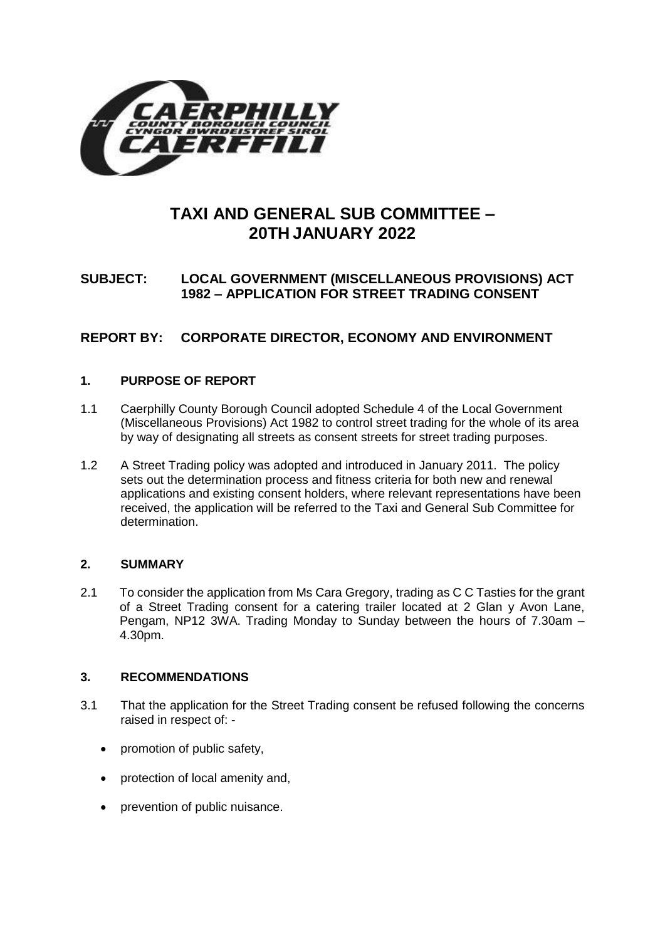

# **TAXI AND GENERAL SUB COMMITTEE – 20TH JANUARY 2022**

## **SUBJECT: LOCAL GOVERNMENT (MISCELLANEOUS PROVISIONS) ACT 1982 – APPLICATION FOR STREET TRADING CONSENT**

## **REPORT BY: CORPORATE DIRECTOR, ECONOMY AND ENVIRONMENT**

## **1. PURPOSE OF REPORT**

- 1.1 Caerphilly County Borough Council adopted Schedule 4 of the Local Government (Miscellaneous Provisions) Act 1982 to control street trading for the whole of its area by way of designating all streets as consent streets for street trading purposes.
- 1.2 A Street Trading policy was adopted and introduced in January 2011. The policy sets out the determination process and fitness criteria for both new and renewal applications and existing consent holders, where relevant representations have been received, the application will be referred to the Taxi and General Sub Committee for determination.

## **2. SUMMARY**

2.1 To consider the application from Ms Cara Gregory, trading as C C Tasties for the grant of a Street Trading consent for a catering trailer located at 2 Glan y Avon Lane, Pengam, NP12 3WA. Trading Monday to Sunday between the hours of 7.30am – 4.30pm.

## **3. RECOMMENDATIONS**

- 3.1 That the application for the Street Trading consent be refused following the concerns raised in respect of: -
	- promotion of public safety,
	- protection of local amenity and,
	- prevention of public nuisance.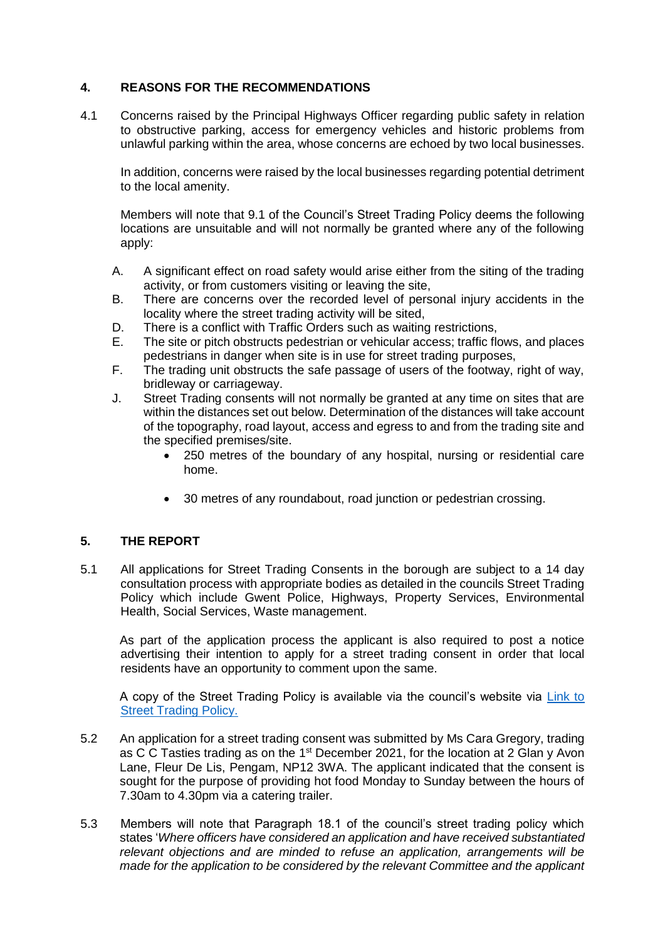## **4. REASONS FOR THE RECOMMENDATIONS**

4.1 Concerns raised by the Principal Highways Officer regarding public safety in relation to obstructive parking, access for emergency vehicles and historic problems from unlawful parking within the area, whose concerns are echoed by two local businesses.

In addition, concerns were raised by the local businesses regarding potential detriment to the local amenity.

Members will note that 9.1 of the Council's Street Trading Policy deems the following locations are unsuitable and will not normally be granted where any of the following apply:

- A. A significant effect on road safety would arise either from the siting of the trading activity, or from customers visiting or leaving the site,
- B. There are concerns over the recorded level of personal injury accidents in the locality where the street trading activity will be sited,
- D. There is a conflict with Traffic Orders such as waiting restrictions,
- E. The site or pitch obstructs pedestrian or vehicular access; traffic flows, and places pedestrians in danger when site is in use for street trading purposes,
- F. The trading unit obstructs the safe passage of users of the footway, right of way, bridleway or carriageway.
- J. Street Trading consents will not normally be granted at any time on sites that are within the distances set out below. Determination of the distances will take account of the topography, road layout, access and egress to and from the trading site and the specified premises/site.
	- 250 metres of the boundary of any hospital, nursing or residential care home.
	- 30 metres of any roundabout, road junction or pedestrian crossing.

## **5. THE REPORT**

5.1 All applications for Street Trading Consents in the borough are subject to a 14 day consultation process with appropriate bodies as detailed in the councils Street Trading Policy which include Gwent Police, Highways, Property Services, Environmental Health, Social Services, Waste management.

As part of the application process the applicant is also required to post a notice advertising their intention to apply for a street trading consent in order that local residents have an opportunity to comment upon the same.

A copy of the Street Trading Policy is available via the council's website via [Link to](https://www.caerphilly.gov.uk/CaerphillyDocs/Licensing/Street_Trading_Policy.aspx)  [Street Trading Policy.](https://www.caerphilly.gov.uk/CaerphillyDocs/Licensing/Street_Trading_Policy.aspx) 

- 5.2 An application for a street trading consent was submitted by Ms Cara Gregory, trading as C C Tasties trading as on the  $1<sup>st</sup>$  December 2021, for the location at 2 Glan y Avon Lane, Fleur De Lis, Pengam, NP12 3WA. The applicant indicated that the consent is sought for the purpose of providing hot food Monday to Sunday between the hours of 7.30am to 4.30pm via a catering trailer.
- 5.3 Members will note that Paragraph 18.1 of the council's street trading policy which states '*Where officers have considered an application and have received substantiated relevant objections and are minded to refuse an application, arrangements will be made for the application to be considered by the relevant Committee and the applicant*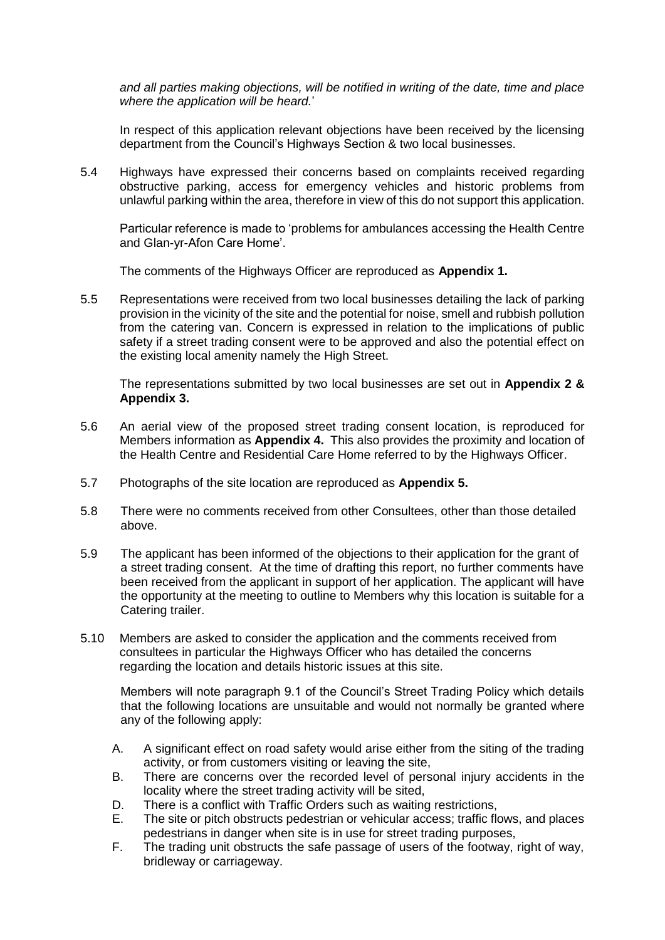*and all parties making objections, will be notified in writing of the date, time and place where the application will be heard.*'

In respect of this application relevant objections have been received by the licensing department from the Council's Highways Section & two local businesses.

5.4 Highways have expressed their concerns based on complaints received regarding obstructive parking, access for emergency vehicles and historic problems from unlawful parking within the area, therefore in view of this do not support this application.

Particular reference is made to 'problems for ambulances accessing the Health Centre and Glan-yr-Afon Care Home'.

The comments of the Highways Officer are reproduced as **Appendix 1.**

5.5 Representations were received from two local businesses detailing the lack of parking provision in the vicinity of the site and the potential for noise, smell and rubbish pollution from the catering van. Concern is expressed in relation to the implications of public safety if a street trading consent were to be approved and also the potential effect on the existing local amenity namely the High Street.

The representations submitted by two local businesses are set out in **Appendix 2 & Appendix 3.**

- 5.6 An aerial view of the proposed street trading consent location, is reproduced for Members information as **Appendix 4.** This also provides the proximity and location of the Health Centre and Residential Care Home referred to by the Highways Officer.
- 5.7 Photographs of the site location are reproduced as **Appendix 5.**
- 5.8 There were no comments received from other Consultees, other than those detailed above.
- 5.9 The applicant has been informed of the objections to their application for the grant of a street trading consent. At the time of drafting this report, no further comments have been received from the applicant in support of her application. The applicant will have the opportunity at the meeting to outline to Members why this location is suitable for a Catering trailer.
- 5.10 Members are asked to consider the application and the comments received from consultees in particular the Highways Officer who has detailed the concerns regarding the location and details historic issues at this site.

Members will note paragraph 9.1 of the Council's Street Trading Policy which details that the following locations are unsuitable and would not normally be granted where any of the following apply:

- A. A significant effect on road safety would arise either from the siting of the trading activity, or from customers visiting or leaving the site,
- B. There are concerns over the recorded level of personal injury accidents in the locality where the street trading activity will be sited,
- D. There is a conflict with Traffic Orders such as waiting restrictions,
- E. The site or pitch obstructs pedestrian or vehicular access; traffic flows, and places pedestrians in danger when site is in use for street trading purposes,
- F. The trading unit obstructs the safe passage of users of the footway, right of way, bridleway or carriageway.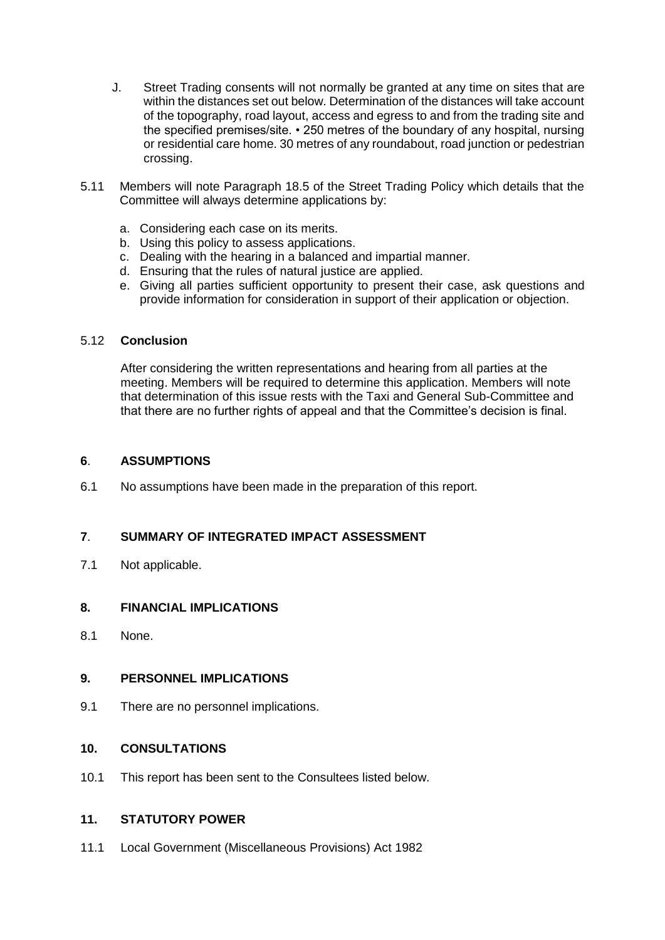- J. Street Trading consents will not normally be granted at any time on sites that are within the distances set out below. Determination of the distances will take account of the topography, road layout, access and egress to and from the trading site and the specified premises/site. • 250 metres of the boundary of any hospital, nursing or residential care home. 30 metres of any roundabout, road junction or pedestrian crossing.
- 5.11 Members will note Paragraph 18.5 of the Street Trading Policy which details that the Committee will always determine applications by:
	- a. Considering each case on its merits.
	- b. Using this policy to assess applications.
	- c. Dealing with the hearing in a balanced and impartial manner.
	- d. Ensuring that the rules of natural justice are applied.
	- e. Giving all parties sufficient opportunity to present their case, ask questions and provide information for consideration in support of their application or objection.

#### 5.12 **Conclusion**

After considering the written representations and hearing from all parties at the meeting. Members will be required to determine this application. Members will note that determination of this issue rests with the Taxi and General Sub-Committee and that there are no further rights of appeal and that the Committee's decision is final.

#### **6**. **ASSUMPTIONS**

6.1 No assumptions have been made in the preparation of this report.

## **7**. **SUMMARY OF INTEGRATED IMPACT ASSESSMENT**

7.1 Not applicable.

## **8. FINANCIAL IMPLICATIONS**

8.1 None.

#### **9. PERSONNEL IMPLICATIONS**

9.1 There are no personnel implications.

#### **10. CONSULTATIONS**

10.1 This report has been sent to the Consultees listed below.

## **11. STATUTORY POWER**

11.1 Local Government (Miscellaneous Provisions) Act 1982